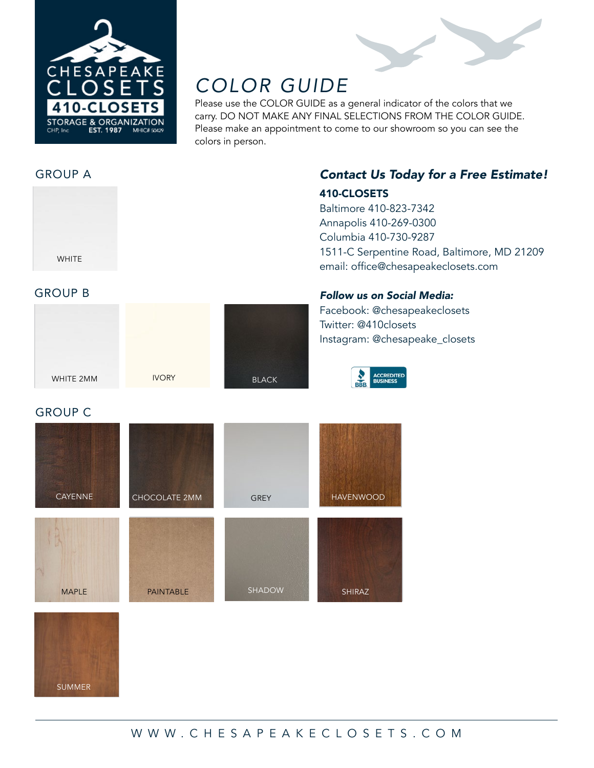

# *COLOR GUIDE*

Please use the COLOR GUIDE as a general indicator of the colors that we carry. DO NOT MAKE ANY FINAL SELECTIONS FROM THE COLOR GUIDE. Please make an appointment to come to our showroom so you can see the colors in person.

### GROUP A



## *Contact Us Today for a Free Estimate!* 410-CLOSETS

Baltimore 410-823-7342 Annapolis 410-269-0300 Columbia 410-730-9287 1511-C Serpentine Road, Baltimore, MD 21209 email: office@chesapeakeclosets.com

#### GROUP B



BLACK IVORY

#### *Follow us on Social Media:*

Facebook: @chesapeakeclosets Twitter: @410closets Instagram: @chesapeake\_closets

**CCREDITED** 

#### GROUP C